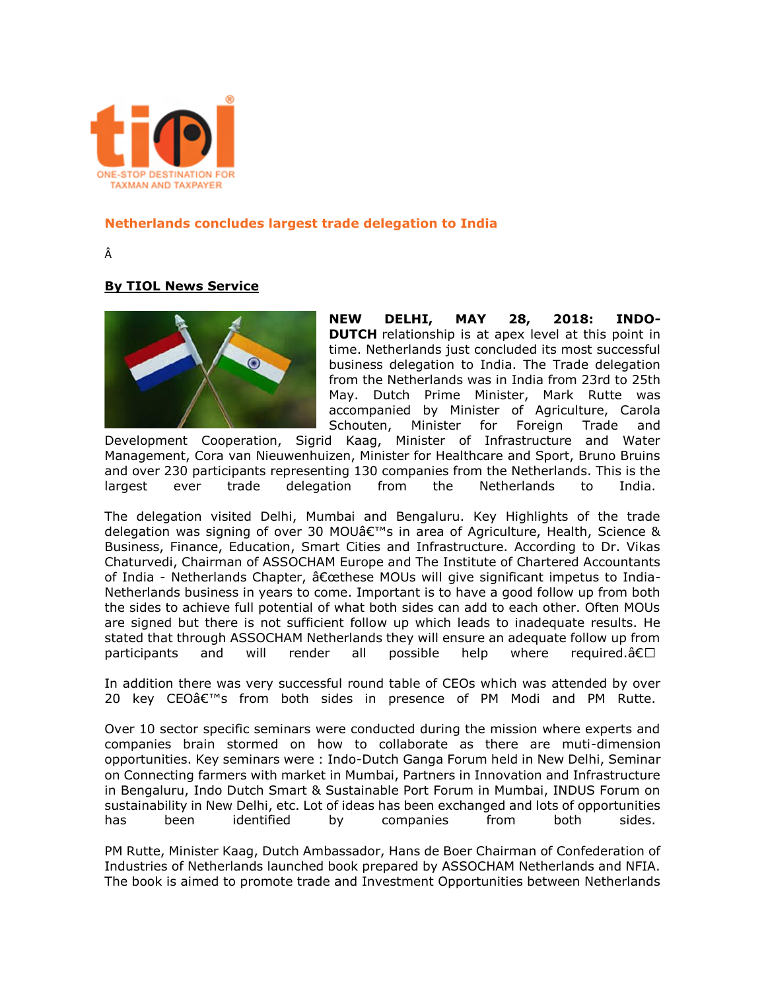

## **Netherlands concludes largest trade delegation to India**

Â

## **By TIOL News Service**



**NEW DELHI, MAY 28, 2018: INDO-DUTCH** relationship is at apex level at this point in time. Netherlands just concluded its most successful business delegation to India. The Trade delegation from the Netherlands was in India from 23rd to 25th May. Dutch Prime Minister, Mark Rutte was accompanied by Minister of Agriculture, Carola Schouten, Minister for Foreign Trade and

Development Cooperation, Sigrid Kaag, Minister of Infrastructure and Water Management, Cora van Nieuwenhuizen, Minister for Healthcare and Sport, Bruno Bruins and over 230 participants representing 130 companies from the Netherlands. This is the largest ever trade delegation from the Netherlands to India.

The delegation visited Delhi, Mumbai and Bengaluru. Key Highlights of the trade delegation was signing of over 30 MOU $\hat{a} \in \mathbb{N}$ s in area of Agriculture, Health, Science & Business, Finance, Education, Smart Cities and Infrastructure. According to Dr. Vikas Chaturvedi, Chairman of ASSOCHAM Europe and The Institute of Chartered Accountants of India - Netherlands Chapter,  $\hat{\sigma} \in \mathbb{C}$ ethese MOUs will give significant impetus to India-Netherlands business in years to come. Important is to have a good follow up from both the sides to achieve full potential of what both sides can add to each other. Often MOUs are signed but there is not sufficient follow up which leads to inadequate results. He stated that through ASSOCHAM Netherlands they will ensure an adequate follow up from participants and will render all possible help where required.―

In addition there was very successful round table of CEOs which was attended by over 20 key CEO's from both sides in presence of PM Modi and PM Rutte.

Over 10 sector specific seminars were conducted during the mission where experts and companies brain stormed on how to collaborate as there are muti-dimension opportunities. Key seminars were : Indo-Dutch Ganga Forum held in New Delhi, Seminar on Connecting farmers with market in Mumbai, Partners in Innovation and Infrastructure in Bengaluru, Indo Dutch Smart & Sustainable Port Forum in Mumbai, INDUS Forum on sustainability in New Delhi, etc. Lot of ideas has been exchanged and lots of opportunities has been identified by companies from both sides.

PM Rutte, Minister Kaag, Dutch Ambassador, Hans de Boer Chairman of Confederation of Industries of Netherlands launched book prepared by ASSOCHAM Netherlands and NFIA. The book is aimed to promote trade and Investment Opportunities between Netherlands